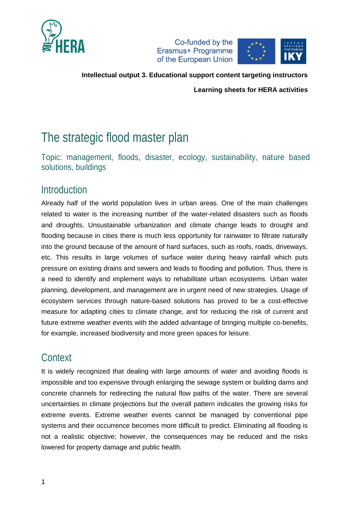



**Intellectual output 3. Educational support content targeting instructors**

**Learning sheets for HERA activities**

# The strategic flood master plan

Topic: management, floods, disaster, ecology, sustainability, nature based solutions, buildings

### Introduction

Already half of the world population lives in urban areas. One of the main challenges related to water is the increasing number of the water-related disasters such as floods and droughts. Unsustainable urbanization and climate change leads to drought and flooding because in cities there is much less opportunity for rainwater to filtrate naturally into the ground because of the amount of hard surfaces, such as roofs, roads, driveways, etc. This results in large volumes of surface water during heavy rainfall which puts pressure on existing drains and sewers and leads to flooding and pollution. Thus, there is a need to identify and implement ways to rehabilitate urban ecosystems. Urban water planning, development, and management are in urgent need of new strategies. Usage of ecosystem services through nature-based solutions has proved to be a cost-effective measure for adapting cities to climate change, and for reducing the risk of current and future extreme weather events with the added advantage of bringing multiple co-benefits, for example, increased biodiversity and more green spaces for leisure.

## **Context**

It is widely recognized that dealing with large amounts of water and avoiding floods is impossible and too expensive through enlarging the sewage system or building dams and concrete channels for redirecting the natural flow paths of the water. There are several uncertainties in climate projections but the overall pattern indicates the growing risks for extreme events. Extreme weather events cannot be managed by conventional pipe systems and their occurrence becomes more difficult to predict. Eliminating all flooding is not a realistic objective; however, the consequences may be reduced and the risks lowered for property damage and public health.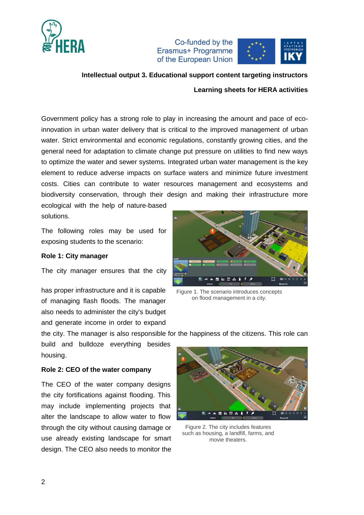



#### **Intellectual output 3. Educational support content targeting instructors**

**Learning sheets for HERA activities**

Government policy has a strong role to play in increasing the amount and pace of ecoinnovation in urban water delivery that is critical to the improved management of urban water. Strict environmental and economic regulations, constantly growing cities, and the general need for adaptation to climate change put pressure on utilities to find new ways to optimize the water and sewer systems. Integrated urban water management is the key element to reduce adverse impacts on surface waters and minimize future investment costs. Cities can contribute to water resources management and ecosystems and biodiversity conservation, through their design and making their infrastructure more

ecological with the help of nature-based solutions.

The following roles may be used for exposing students to the scenario:

#### **Role 1: City manager**

The city manager ensures that the city

has proper infrastructure and it is capable of managing flash floods. The manager also needs to administer the city's budget and generate income in order to expand



Figure 1. The scenario introduces concepts on flood management in a city.

the city. The manager is also responsible for the happiness of the citizens. This role can

build and bulldoze everything besides housing.

#### **Role 2: CEO of the water company**

The CEO of the water company designs the city fortifications against flooding. This may include implementing projects that alter the landscape to allow water to flow through the city without causing damage or use already existing landscape for smart design. The CEO also needs to monitor the



Figure 2. The city includes features such as housing, a landfill, farms, and movie theaters.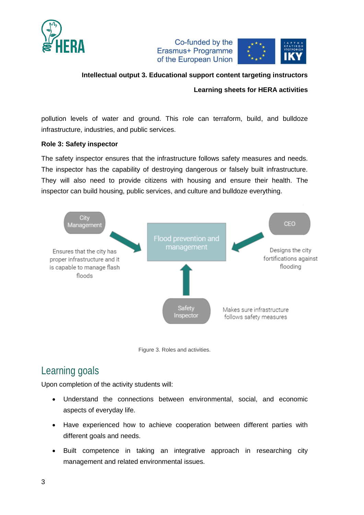



### **Intellectual output 3. Educational support content targeting instructors**

**Learning sheets for HERA activities**

pollution levels of water and ground. This role can terraform, build, and bulldoze infrastructure, industries, and public services.

#### **Role 3: Safety inspector**

The safety inspector ensures that the infrastructure follows safety measures and needs. The inspector has the capability of destroying dangerous or falsely built infrastructure. They will also need to provide citizens with housing and ensure their health. The inspector can build housing, public services, and culture and bulldoze everything.



Figure 3. Roles and activities.

### Learning goals

Upon completion of the activity students will:

- Understand the connections between environmental, social, and economic aspects of everyday life.
- Have experienced how to achieve cooperation between different parties with different goals and needs.
- Built competence in taking an integrative approach in researching city management and related environmental issues.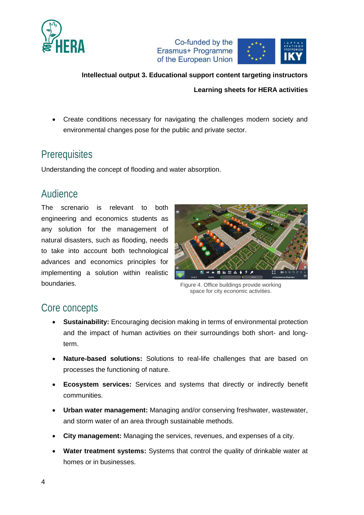



### **Intellectual output 3. Educational support content targeting instructors**

#### **Learning sheets for HERA activities**

 Create conditions necessary for navigating the challenges modern society and environmental changes pose for the public and private sector.

### **Prerequisites**

Understanding the concept of flooding and water absorption.

### Audience

The screnario is relevant to both engineering and economics students as any solution for the management of natural disasters, such as flooding, needs to take into account both technological advances and economics principles for implementing a solution within realistic boundaries.



Figure 4. Office buildings provide working space for city economic activities.

### Core concepts

- **Sustainability:** Encouraging decision making in terms of environmental protection and the impact of human activities on their surroundings both short- and longterm.
- **Nature-based solutions:** Solutions to real-life challenges that are based on processes the functioning of nature.
- **Ecosystem services:** Services and systems that directly or indirectly benefit communities.
- **Urban water management:** Managing and/or conserving freshwater, wastewater, and storm water of an area through sustainable methods.
- **City management:** Managing the services, revenues, and expenses of a city.
- **Water treatment systems:** Systems that control the quality of drinkable water at homes or in businesses.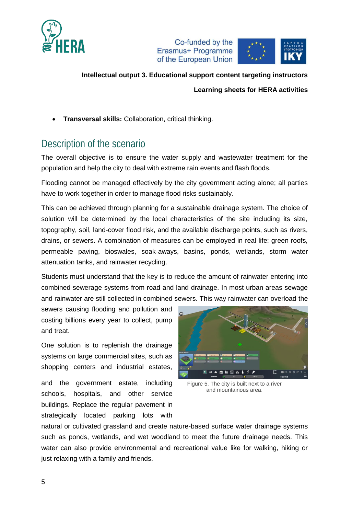



#### **Intellectual output 3. Educational support content targeting instructors**

**Learning sheets for HERA activities**

**Transversal skills:** Collaboration, critical thinking.

### Description of the scenario

The overall objective is to ensure the water supply and wastewater treatment for the population and help the city to deal with extreme rain events and flash floods.

Flooding cannot be managed effectively by the city government acting alone; all parties have to work together in order to manage flood risks sustainably.

This can be achieved through planning for a sustainable drainage system. The choice of solution will be determined by the local characteristics of the site including its size, topography, soil, land-cover flood risk, and the available discharge points, such as rivers, drains, or sewers. A combination of measures can be employed in real life: green roofs, permeable paving, bioswales, soak-aways, basins, ponds, wetlands, storm water attenuation tanks, and rainwater recycling.

Students must understand that the key is to reduce the amount of rainwater entering into combined sewerage systems from road and land drainage. In most urban areas sewage and rainwater are still collected in combined sewers. This way rainwater can overload the

sewers causing flooding and pollution and costing billions every year to collect, pump and treat.

One solution is to replenish the drainage systems on large commercial sites, such as shopping centers and industrial estates,

and the government estate, including schools, hospitals, and other service buildings. Replace the regular pavement in strategically located parking lots with



Figure 5. The city is built next to a river and mountainous area.

natural or cultivated grassland and create nature-based surface water drainage systems such as ponds, wetlands, and wet woodland to meet the future drainage needs. This water can also provide environmental and recreational value like for walking, hiking or just relaxing with a family and friends.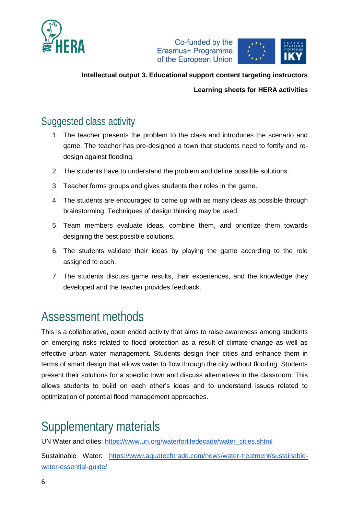



### **Intellectual output 3. Educational support content targeting instructors**

**Learning sheets for HERA activities**

## Suggested class activity

- 1. The teacher presents the problem to the class and introduces the scenario and game. The teacher has pre-designed a town that students need to fortify and redesign against flooding.
- 2. The students have to understand the problem and define possible solutions.
- 3. Teacher forms groups and gives students their roles in the game.
- 4. The students are encouraged to come up with as many ideas as possible through brainstorming. Techniques of design thinking may be used.
- 5. Team members evaluate ideas, combine them, and prioritize them towards designing the best possible solutions.
- 6. The students validate their ideas by playing the game according to the role assigned to each.
- 7. The students discuss game results, their experiences, and the knowledge they developed and the teacher provides feedback.

# Assessment methods

This is a collaborative, open ended activity that aims to raise awareness among students on emerging risks related to flood protection as a result of climate change as well as effective urban water management. Students design their cities and enhance them in terms of smart design that allows water to flow through the city without flooding. Students present their solutions for a specific town and discuss alternatives in the classroom. This allows students to build on each other's ideas and to understand issues related to optimization of potential flood management approaches.

# Supplementary materials

UN Water and cities: [https://www.un.org/waterforlifedecade/water\\_cities.shtml](https://www.un.org/waterforlifedecade/water_cities.shtml)

Sustainable Water: [https://www.aquatechtrade.com/news/water-treatment/sustainable](https://www.aquatechtrade.com/news/water-treatment/sustainable-water-essential-guide/)[water-essential-guide/](https://www.aquatechtrade.com/news/water-treatment/sustainable-water-essential-guide/)